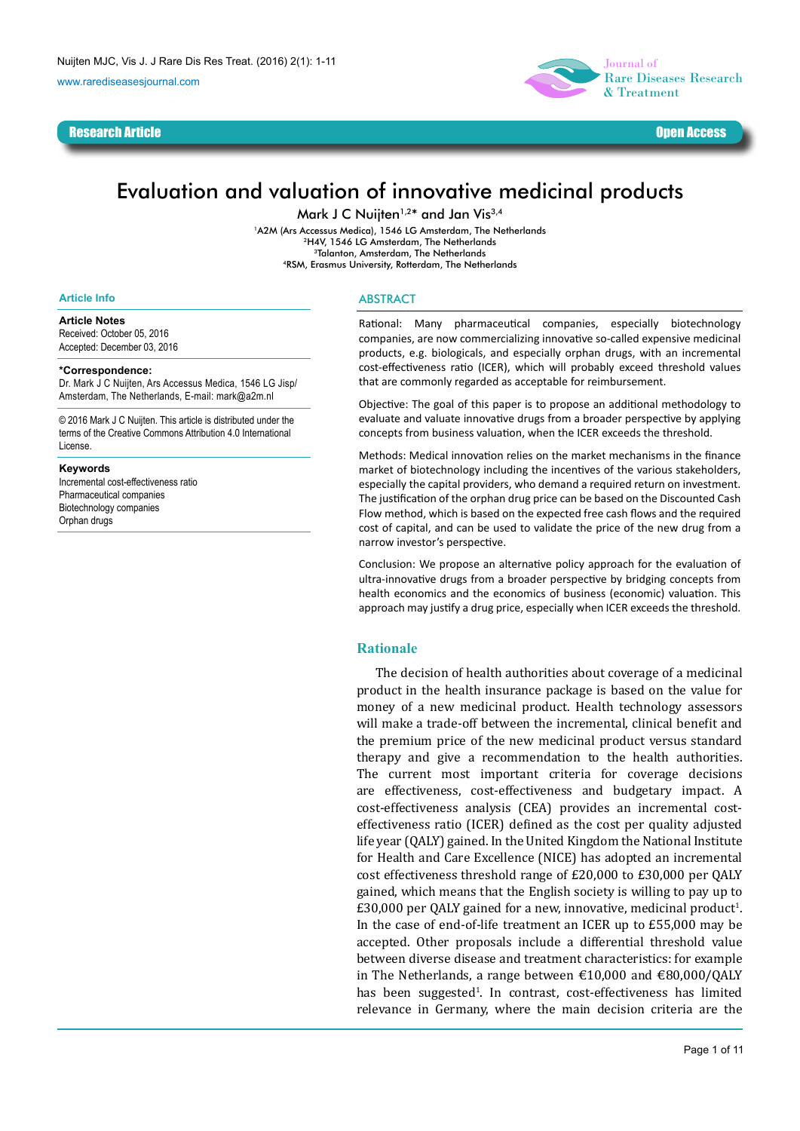www.rarediseasesjournal.com

Research Article Open Access



# Evaluation and valuation of innovative medicinal products

Mark J C Nuijten<sup>1,2\*</sup> and Jan Vis<sup>3,4</sup>

1A2M (Ars Accessus Medica), 1546 LG Amsterdam, The Netherlands 2H4V, 1546 LG Amsterdam, The Netherlands 3Talanton, Amsterdam, The Netherlands 4RSM, Erasmus University, Rotterdam, The Netherlands

#### **Article Info**

**Article Notes** Received: October 05, 2016 Accepted: December 03, 2016

#### **\*Correspondence:**

Dr. Mark J C Nuijten, Ars Accessus Medica, 1546 LG Jisp/ Amsterdam, The Netherlands, E-mail: mark@a2m.nl

© 2016 Mark J C Nuijten. This article is distributed under the terms of the Creative Commons Attribution 4.0 International License.

#### **Keywords**

Incremental cost-effectiveness ratio Pharmaceutical companies Biotechnology companies Orphan drugs

#### **ABSTRACT**

Rational: Many pharmaceutical companies, especially biotechnology companies, are now commercializing innovative so-called expensive medicinal products, e.g. biologicals, and especially orphan drugs, with an incremental cost-effectiveness ratio (ICER), which will probably exceed threshold values that are commonly regarded as acceptable for reimbursement.

Objective: The goal of this paper is to propose an additional methodology to evaluate and valuate innovative drugs from a broader perspective by applying concepts from business valuation, when the ICER exceeds the threshold.

Methods: Medical innovation relies on the market mechanisms in the finance market of biotechnology including the incentives of the various stakeholders, especially the capital providers, who demand a required return on investment. The justification of the orphan drug price can be based on the Discounted Cash Flow method, which is based on the expected free cash flows and the required cost of capital, and can be used to validate the price of the new drug from a narrow investor's perspective.

Conclusion: We propose an alternative policy approach for the evaluation of ultra-innovative drugs from a broader perspective by bridging concepts from health economics and the economics of business (economic) valuation. This approach may justify a drug price, especially when ICER exceeds the threshold.

#### **Rationale**

The decision of health authorities about coverage of a medicinal product in the health insurance package is based on the value for money of a new medicinal product. Health technology assessors will make a trade-off between the incremental, clinical benefit and the premium price of the new medicinal product versus standard therapy and give a recommendation to the health authorities. The current most important criteria for coverage decisions are effectiveness, cost-effectiveness and budgetary impact. A cost-effectiveness analysis (CEA) provides an incremental costeffectiveness ratio (ICER) defined as the cost per quality adjusted life year (QALY) gained. In the United Kingdom the National Institute for Health and Care Excellence (NICE) has adopted an incremental cost effectiveness threshold range of £20,000 to £30,000 per QALY gained, which means that the English society is willing to pay up to  $E30,000$  per QALY gained for a new, innovative, medicinal product<sup>1</sup>. In the case of end-of-life treatment an ICER up to £55,000 may be accepted. Other proposals include a differential threshold value between diverse disease and treatment characteristics: for example in The Netherlands, a range between €10,000 and €80,000/QALY has been suggested<sup>1</sup>. In contrast, cost-effectiveness has limited relevance in Germany, where the main decision criteria are the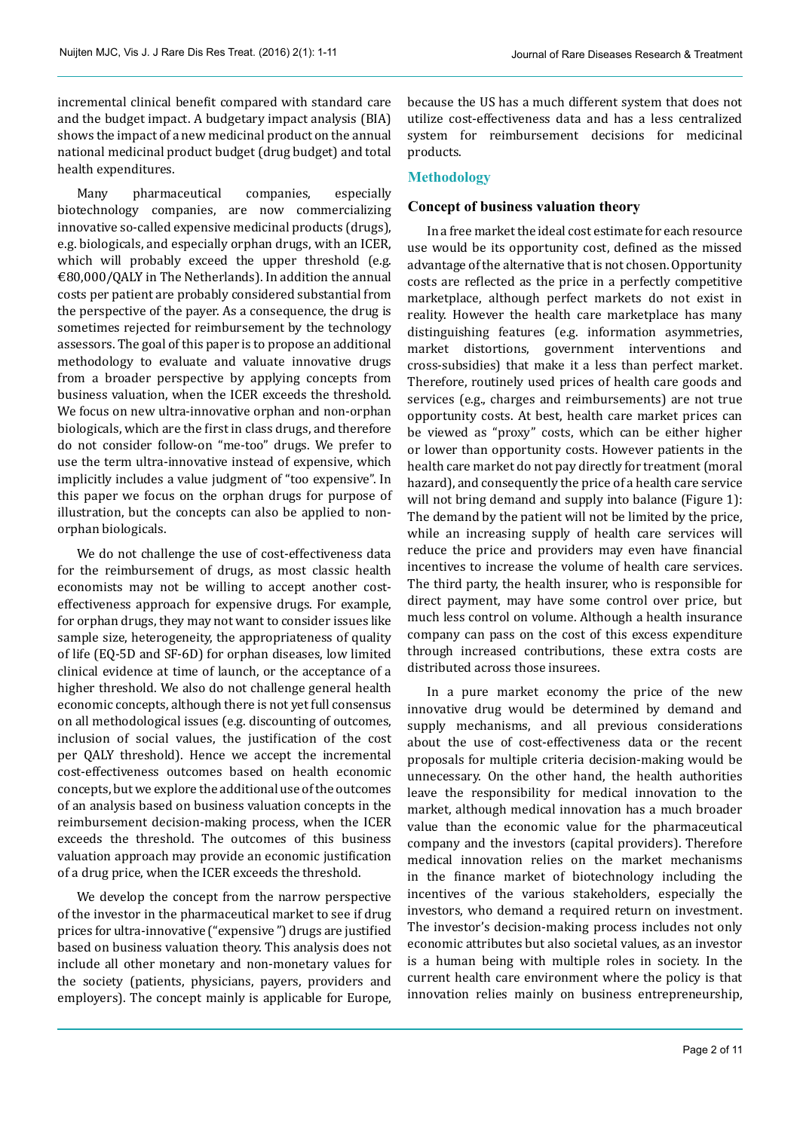incremental clinical benefit compared with standard care and the budget impact. A budgetary impact analysis (BIA) shows the impact of a new medicinal product on the annual national medicinal product budget (drug budget) and total health expenditures.

Many pharmaceutical companies, especially biotechnology companies, are now commercializing innovative so-called expensive medicinal products (drugs), e.g. biologicals, and especially orphan drugs, with an ICER, which will probably exceed the upper threshold (e.g. €80,000/QALY in The Netherlands). In addition the annual costs per patient are probably considered substantial from the perspective of the payer. As a consequence, the drug is sometimes rejected for reimbursement by the technology assessors. The goal of this paper is to propose an additional methodology to evaluate and valuate innovative drugs from a broader perspective by applying concepts from business valuation, when the ICER exceeds the threshold. We focus on new ultra-innovative orphan and non-orphan biologicals, which are the first in class drugs, and therefore do not consider follow-on "me-too" drugs. We prefer to use the term ultra-innovative instead of expensive, which implicitly includes a value judgment of "too expensive". In this paper we focus on the orphan drugs for purpose of illustration, but the concepts can also be applied to nonorphan biologicals.

We do not challenge the use of cost-effectiveness data for the reimbursement of drugs, as most classic health economists may not be willing to accept another costeffectiveness approach for expensive drugs. For example, for orphan drugs, they may not want to consider issues like sample size, heterogeneity, the appropriateness of quality of life (EQ-5D and SF-6D) for orphan diseases, low limited clinical evidence at time of launch, or the acceptance of a higher threshold. We also do not challenge general health economic concepts, although there is not yet full consensus on all methodological issues (e.g. discounting of outcomes, inclusion of social values, the justification of the cost per QALY threshold). Hence we accept the incremental cost-effectiveness outcomes based on health economic concepts, but we explore the additional use of the outcomes of an analysis based on business valuation concepts in the reimbursement decision-making process, when the ICER exceeds the threshold. The outcomes of this business valuation approach may provide an economic justification of a drug price, when the ICER exceeds the threshold.

We develop the concept from the narrow perspective of the investor in the pharmaceutical market to see if drug prices for ultra-innovative ("expensive ") drugs are justified based on business valuation theory. This analysis does not include all other monetary and non-monetary values for the society (patients, physicians, payers, providers and employers). The concept mainly is applicable for Europe,

because the US has a much different system that does not utilize cost-effectiveness data and has a less centralized system for reimbursement decisions for medicinal products.

# **Methodology**

## **Concept of business valuation theory**

In a free market the ideal cost estimate for each resource use would be its opportunity cost, defined as the missed advantage of the alternative that is not chosen. Opportunity costs are reflected as the price in a perfectly competitive marketplace, although perfect markets do not exist in reality. However the health care marketplace has many distinguishing features (e.g. information asymmetries, market distortions, government interventions and cross-subsidies) that make it a less than perfect market. Therefore, routinely used prices of health care goods and services (e.g., charges and reimbursements) are not true opportunity costs. At best, health care market prices can be viewed as "proxy" costs, which can be either higher or lower than opportunity costs. However patients in the health care market do not pay directly for treatment (moral hazard), and consequently the price of a health care service will not bring demand and supply into balance (Figure 1): The demand by the patient will not be limited by the price, while an increasing supply of health care services will reduce the price and providers may even have financial incentives to increase the volume of health care services. The third party, the health insurer, who is responsible for direct payment, may have some control over price, but much less control on volume. Although a health insurance company can pass on the cost of this excess expenditure through increased contributions, these extra costs are distributed across those insurees.

In a pure market economy the price of the new innovative drug would be determined by demand and supply mechanisms, and all previous considerations about the use of cost-effectiveness data or the recent proposals for multiple criteria decision-making would be unnecessary. On the other hand, the health authorities leave the responsibility for medical innovation to the market, although medical innovation has a much broader value than the economic value for the pharmaceutical company and the investors (capital providers). Therefore medical innovation relies on the market mechanisms in the finance market of biotechnology including the incentives of the various stakeholders, especially the investors, who demand a required return on investment. The investor's decision-making process includes not only economic attributes but also societal values, as an investor is a human being with multiple roles in society. In the current health care environment where the policy is that innovation relies mainly on business entrepreneurship,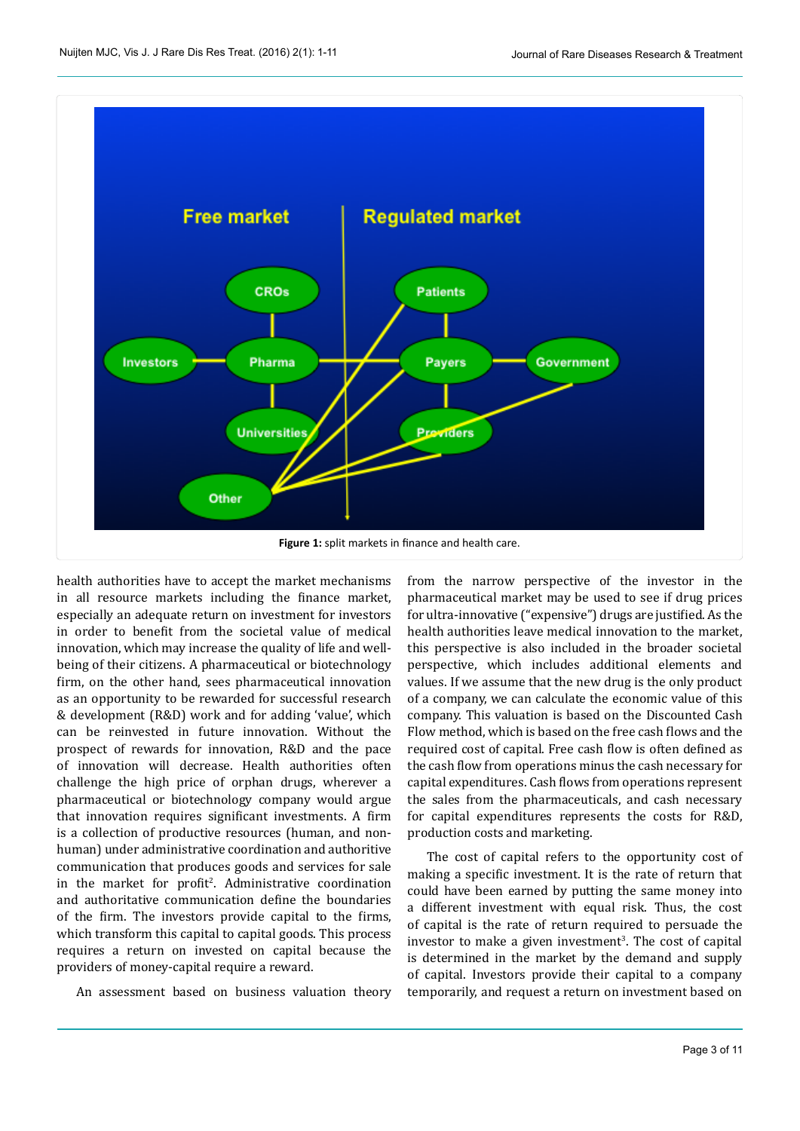

health authorities have to accept the market mechanisms in all resource markets including the finance market, especially an adequate return on investment for investors in order to benefit from the societal value of medical innovation, which may increase the quality of life and wellbeing of their citizens. A pharmaceutical or biotechnology firm, on the other hand, sees pharmaceutical innovation as an opportunity to be rewarded for successful research & development (R&D) work and for adding 'value', which can be reinvested in future innovation. Without the prospect of rewards for innovation, R&D and the pace of innovation will decrease. Health authorities often challenge the high price of orphan drugs, wherever a pharmaceutical or biotechnology company would argue that innovation requires significant investments. A firm is a collection of productive resources (human, and nonhuman) under administrative coordination and authoritive communication that produces goods and services for sale in the market for profit<sup>2</sup>. Administrative coordination and authoritative communication define the boundaries of the firm. The investors provide capital to the firms, which transform this capital to capital goods. This process requires a return on invested on capital because the providers of money-capital require a reward.

An assessment based on business valuation theory

from the narrow perspective of the investor in the pharmaceutical market may be used to see if drug prices for ultra-innovative ("expensive") drugs are justified. As the health authorities leave medical innovation to the market, this perspective is also included in the broader societal perspective, which includes additional elements and values. If we assume that the new drug is the only product of a company, we can calculate the economic value of this company. This valuation is based on the Discounted Cash Flow method, which is based on the free cash flows and the required cost of capital. Free cash flow is often defined as the cash flow from operations minus the cash necessary for capital expenditures. Cash flows from operations represent the sales from the pharmaceuticals, and cash necessary for capital expenditures represents the costs for R&D, production costs and marketing.

The cost of capital refers to the opportunity cost of making a specific investment. It is the rate of return that could have been earned by putting the same money into a different investment with equal risk. Thus, the cost of capital is the rate of return required to persuade the investor to make a given investment<sup>3</sup>. The cost of capital is determined in the market by the demand and supply of capital. Investors provide their capital to a company temporarily, and request a return on investment based on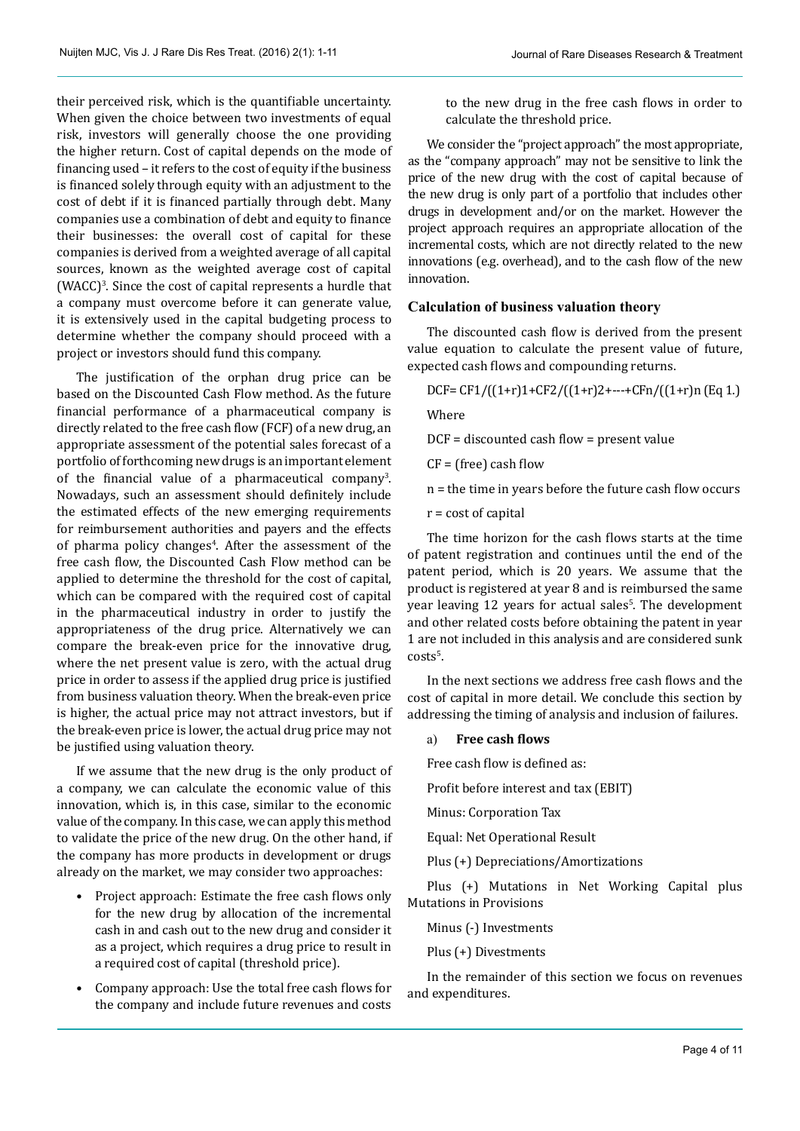their perceived risk, which is the quantifiable uncertainty. When given the choice between two investments of equal risk, investors will generally choose the one providing the higher return. Cost of capital depends on the mode of financing used – it refers to the cost of equity if the business is financed solely through equity with an adjustment to the cost of debt if it is financed partially through debt. Many companies use a combination of debt and equity to finance their businesses: the overall cost of capital for these companies is derived from a weighted average of all capital sources, known as the weighted average cost of capital (WACC)<sup>3</sup>. Since the cost of capital represents a hurdle that a company must overcome before it can generate value, it is extensively used in the capital budgeting process to determine whether the company should proceed with a project or investors should fund this company.

The justification of the orphan drug price can be based on the Discounted Cash Flow method. As the future financial performance of a pharmaceutical company is directly related to the free cash flow (FCF) of a new drug, an appropriate assessment of the potential sales forecast of a portfolio of forthcoming new drugs is an important element of the financial value of a pharmaceutical company<sup>3</sup>. Nowadays, such an assessment should definitely include the estimated effects of the new emerging requirements for reimbursement authorities and payers and the effects of pharma policy changes<sup>4</sup>. After the assessment of the free cash flow, the Discounted Cash Flow method can be applied to determine the threshold for the cost of capital, which can be compared with the required cost of capital in the pharmaceutical industry in order to justify the appropriateness of the drug price. Alternatively we can compare the break-even price for the innovative drug, where the net present value is zero, with the actual drug price in order to assess if the applied drug price is justified from business valuation theory. When the break-even price is higher, the actual price may not attract investors, but if the break-even price is lower, the actual drug price may not be justified using valuation theory.

If we assume that the new drug is the only product of a company, we can calculate the economic value of this innovation, which is, in this case, similar to the economic value of the company. In this case, we can apply this method to validate the price of the new drug. On the other hand, if the company has more products in development or drugs already on the market, we may consider two approaches:

- Project approach: Estimate the free cash flows only for the new drug by allocation of the incremental cash in and cash out to the new drug and consider it as a project, which requires a drug price to result in a required cost of capital (threshold price).
- Company approach: Use the total free cash flows for the company and include future revenues and costs

to the new drug in the free cash flows in order to calculate the threshold price.

We consider the "project approach" the most appropriate, as the "company approach" may not be sensitive to link the price of the new drug with the cost of capital because of the new drug is only part of a portfolio that includes other drugs in development and/or on the market. However the project approach requires an appropriate allocation of the incremental costs, which are not directly related to the new innovations (e.g. overhead), and to the cash flow of the new innovation.

#### **Calculation of business valuation theory**

The discounted cash flow is derived from the present value equation to calculate the present value of future, expected cash flows and compounding returns.

DCF=  $CF1/((1+r)1+CF2/((1+r)2+...+CFn/((1+r)n)Eq 1.)$ 

Where

DCF = discounted cash flow = present value

CF = (free) cash flow

n = the time in years before the future cash flow occurs

r = cost of capital

The time horizon for the cash flows starts at the time of patent registration and continues until the end of the patent period, which is 20 years. We assume that the product is registered at year 8 and is reimbursed the same year leaving 12 years for actual sales<sup>5</sup>. The development and other related costs before obtaining the patent in year 1 are not included in this analysis and are considered sunk costs<sup>5</sup>.

In the next sections we address free cash flows and the cost of capital in more detail. We conclude this section by addressing the timing of analysis and inclusion of failures.

#### a) **Free cash flows**

Free cash flow is defined as:

Profit before interest and tax (EBIT)

Minus: Corporation Tax

Equal: Net Operational Result

Plus (+) Depreciations/Amortizations

Plus (+) Mutations in Net Working Capital plus Mutations in Provisions

Minus (-) Investments

Plus (+) Divestments

In the remainder of this section we focus on revenues and expenditures.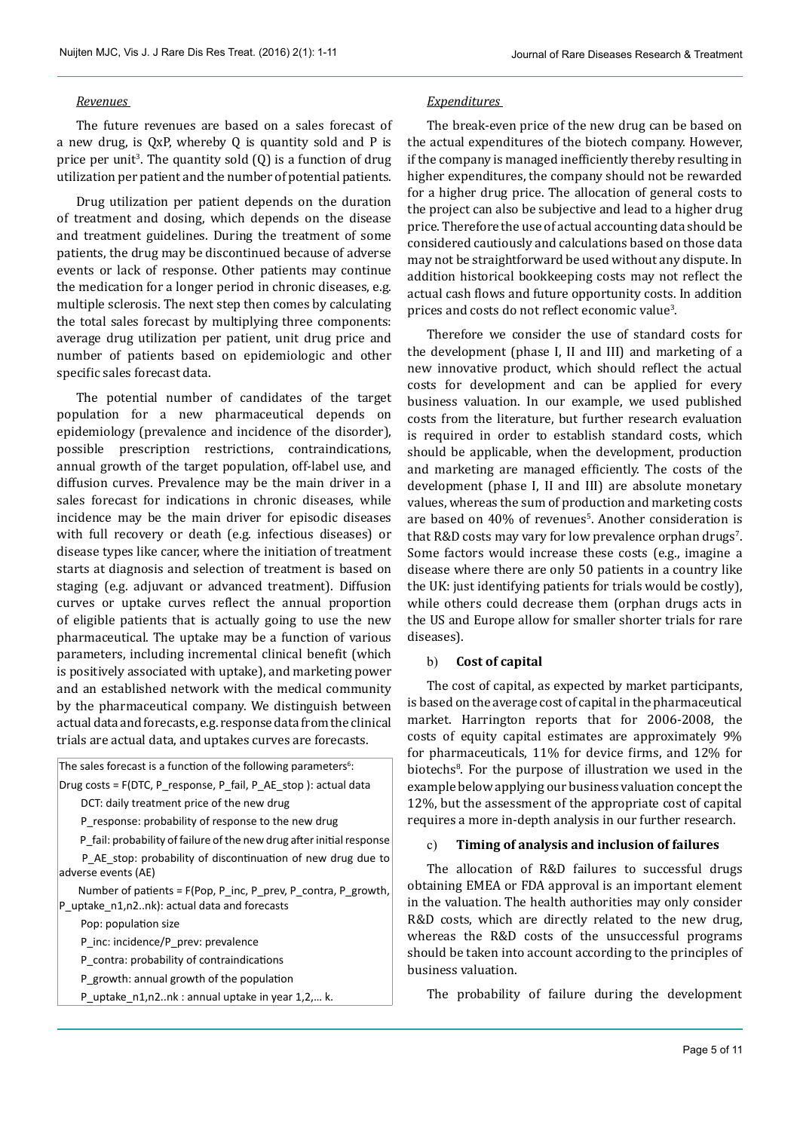#### *Revenues*

The future revenues are based on a sales forecast of a new drug, is QxP, whereby Q is quantity sold and P is price per unit<sup>3</sup>. The quantity sold  $(Q)$  is a function of drug utilization per patient and the number of potential patients.

Drug utilization per patient depends on the duration of treatment and dosing, which depends on the disease and treatment guidelines. During the treatment of some patients, the drug may be discontinued because of adverse events or lack of response. Other patients may continue the medication for a longer period in chronic diseases, e.g. multiple sclerosis. The next step then comes by calculating the total sales forecast by multiplying three components: average drug utilization per patient, unit drug price and number of patients based on epidemiologic and other specific sales forecast data.

The potential number of candidates of the target population for a new pharmaceutical depends on epidemiology (prevalence and incidence of the disorder), possible prescription restrictions, contraindications, annual growth of the target population, off-label use, and diffusion curves. Prevalence may be the main driver in a sales forecast for indications in chronic diseases, while incidence may be the main driver for episodic diseases with full recovery or death (e.g. infectious diseases) or disease types like cancer, where the initiation of treatment starts at diagnosis and selection of treatment is based on staging (e.g. adjuvant or advanced treatment). Diffusion curves or uptake curves reflect the annual proportion of eligible patients that is actually going to use the new pharmaceutical. The uptake may be a function of various parameters, including incremental clinical benefit (which is positively associated with uptake), and marketing power and an established network with the medical community by the pharmaceutical company. We distinguish between actual data and forecasts, e.g. response data from the clinical trials are actual data, and uptakes curves are forecasts.

The sales forecast is a function of the following parameters $6$ :

Drug costs = F(DTC, P\_response, P\_fail, P\_AE\_stop ): actual data DCT: daily treatment price of the new drug

P\_response: probability of response to the new drug

P\_fail: probability of failure of the new drug after initial response

P AE stop: probability of discontinuation of new drug due to adverse events (AE)

Number of patients = F(Pop, P\_inc, P\_prev, P\_contra, P\_growth, P\_uptake\_n1,n2..nk): actual data and forecasts

Pop: population size

P\_inc: incidence/P\_prev: prevalence

- P\_contra: probability of contraindications
- P\_growth: annual growth of the population

P\_uptake\_n1,n2..nk : annual uptake in year 1,2,... k.

#### *Expenditures*

The break-even price of the new drug can be based on the actual expenditures of the biotech company. However, if the company is managed inefficiently thereby resulting in higher expenditures, the company should not be rewarded for a higher drug price. The allocation of general costs to the project can also be subjective and lead to a higher drug price. Therefore the use of actual accounting data should be considered cautiously and calculations based on those data may not be straightforward be used without any dispute. In addition historical bookkeeping costs may not reflect the actual cash flows and future opportunity costs. In addition prices and costs do not reflect economic value<sup>3</sup>.

Therefore we consider the use of standard costs for the development (phase I, II and III) and marketing of a new innovative product, which should reflect the actual costs for development and can be applied for every business valuation. In our example, we used published costs from the literature, but further research evaluation is required in order to establish standard costs, which should be applicable, when the development, production and marketing are managed efficiently. The costs of the development (phase I, II and III) are absolute monetary values, whereas the sum of production and marketing costs are based on 40% of revenues<sup>5</sup>. Another consideration is that  $R&D$  costs may vary for low prevalence orphan drugs $\degree$ . Some factors would increase these costs (e.g., imagine a disease where there are only 50 patients in a country like the UK: just identifying patients for trials would be costly), while others could decrease them (orphan drugs acts in the US and Europe allow for smaller shorter trials for rare diseases).

#### b) **Cost of capital**

The cost of capital, as expected by market participants, is based on the average cost of capital in the pharmaceutical market. Harrington reports that for 2006-2008, the costs of equity capital estimates are approximately 9% for pharmaceuticals, 11% for device firms, and 12% for biotechs<sup>8</sup>. For the purpose of illustration we used in the example below applying our business valuation concept the 12%, but the assessment of the appropriate cost of capital requires a more in-depth analysis in our further research.

#### c) **Timing of analysis and inclusion of failures**

The allocation of R&D failures to successful drugs obtaining EMEA or FDA approval is an important element in the valuation. The health authorities may only consider R&D costs, which are directly related to the new drug, whereas the R&D costs of the unsuccessful programs should be taken into account according to the principles of business valuation.

The probability of failure during the development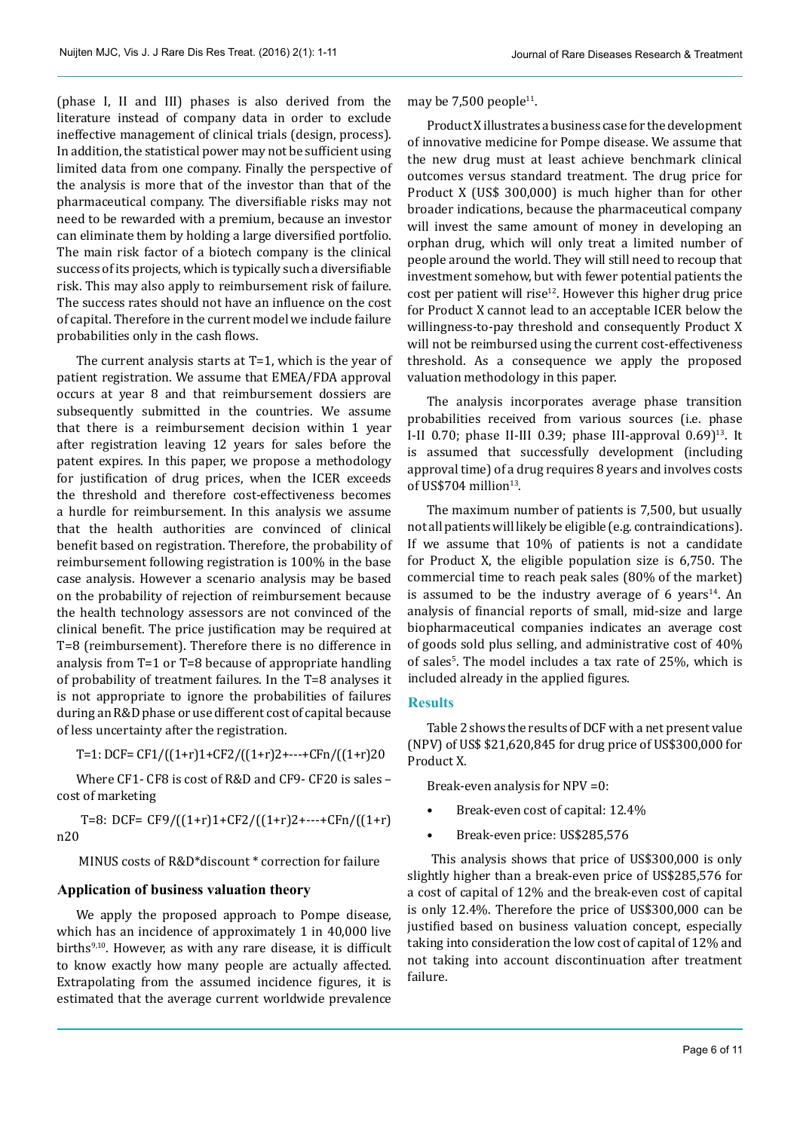(phase I, II and III) phases is also derived from the literature instead of company data in order to exclude ineffective management of clinical trials (design, process). In addition, the statistical power may not be sufficient using limited data from one company. Finally the perspective of the analysis is more that of the investor than that of the pharmaceutical company. The diversifiable risks may not need to be rewarded with a premium, because an investor can eliminate them by holding a large diversified portfolio. The main risk factor of a biotech company is the clinical success of its projects, which is typically such a diversifiable risk. This may also apply to reimbursement risk of failure. The success rates should not have an influence on the cost of capital. Therefore in the current model we include failure probabilities only in the cash flows.

The current analysis starts at T=1, which is the year of patient registration. We assume that EMEA/FDA approval occurs at year 8 and that reimbursement dossiers are subsequently submitted in the countries. We assume that there is a reimbursement decision within 1 year after registration leaving 12 years for sales before the patent expires. In this paper, we propose a methodology for justification of drug prices, when the ICER exceeds the threshold and therefore cost-effectiveness becomes a hurdle for reimbursement. In this analysis we assume that the health authorities are convinced of clinical benefit based on registration. Therefore, the probability of reimbursement following registration is 100% in the base case analysis. However a scenario analysis may be based on the probability of rejection of reimbursement because the health technology assessors are not convinced of the clinical benefit. The price justification may be required at T=8 (reimbursement). Therefore there is no difference in analysis from T=1 or T=8 because of appropriate handling of probability of treatment failures. In the T=8 analyses it is not appropriate to ignore the probabilities of failures during an R&D phase or use different cost of capital because of less uncertainty after the registration.

T=1: DCF= CF1/((1+r)1+CF2/((1+r)2+---+CFn/((1+r)20

Where CF1- CF8 is cost of R&D and CF9- CF20 is sales – cost of marketing

 T=8: DCF= CF9/((1+r)1+CF2/((1+r)2+---+CFn/((1+r) n20

MINUS costs of R&D\*discount \* correction for failure

#### **Application of business valuation theory**

We apply the proposed approach to Pompe disease, which has an incidence of approximately 1 in 40,000 live births<sup>9,10</sup>. However, as with any rare disease, it is difficult to know exactly how many people are actually affected. Extrapolating from the assumed incidence figures, it is estimated that the average current worldwide prevalence

may be  $7,500$  people<sup>11</sup>.

Product X illustrates a business case for the development of innovative medicine for Pompe disease. We assume that the new drug must at least achieve benchmark clinical outcomes versus standard treatment. The drug price for Product X (US\$ 300,000) is much higher than for other broader indications, because the pharmaceutical company will invest the same amount of money in developing an orphan drug, which will only treat a limited number of people around the world. They will still need to recoup that investment somehow, but with fewer potential patients the  $cost$  per patient will rise<sup>12</sup>. However this higher drug price for Product X cannot lead to an acceptable ICER below the willingness-to-pay threshold and consequently Product X will not be reimbursed using the current cost-effectiveness threshold. As a consequence we apply the proposed valuation methodology in this paper.

The analysis incorporates average phase transition probabilities received from various sources (i.e. phase I-II 0.70; phase II-III 0.39; phase III-approval  $0.69$ <sup>13</sup>. It is assumed that successfully development (including approval time) of a drug requires 8 years and involves costs of US\$704 million<sup>13</sup>.

The maximum number of patients is 7,500, but usually not all patients will likely be eligible (e.g. contraindications). If we assume that 10% of patients is not a candidate for Product X, the eligible population size is 6,750. The commercial time to reach peak sales (80% of the market) is assumed to be the industry average of  $6$  years $^{14}$ . An analysis of financial reports of small, mid-size and large biopharmaceutical companies indicates an average cost of goods sold plus selling, and administrative cost of 40% of sales<sup>5</sup>. The model includes a tax rate of 25%, which is included already in the applied figures.

#### **Results**

Table 2 shows the results of DCF with a net present value (NPV) of US\$ \$21,620,845 for drug price of US\$300,000 for Product X.

Break-even analysis for NPV =0:

- Break-even cost of capital: 12.4%
- Break-even price: US\$285,576

 This analysis shows that price of US\$300,000 is only slightly higher than a break-even price of US\$285,576 for a cost of capital of 12% and the break-even cost of capital is only 12.4%. Therefore the price of US\$300,000 can be justified based on business valuation concept, especially taking into consideration the low cost of capital of 12% and not taking into account discontinuation after treatment failure.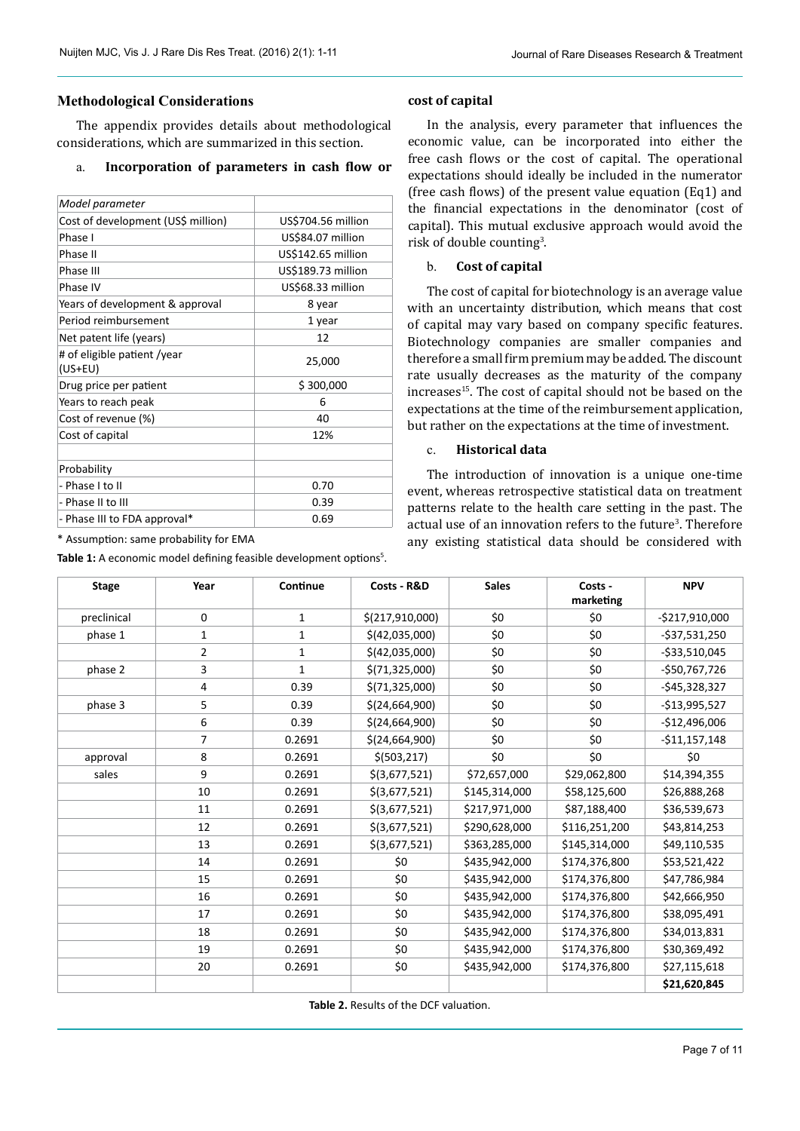# **Methodological Considerations**

The appendix provides details about methodological considerations, which are summarized in this section.

# a. **Incorporation of parameters in cash flow or**

| Model parameter                        |                    |  |  |
|----------------------------------------|--------------------|--|--|
| Cost of development (US\$ million)     | US\$704.56 million |  |  |
| Phase I                                | US\$84.07 million  |  |  |
| Phase II                               | US\$142.65 million |  |  |
| Phase III                              | US\$189.73 million |  |  |
| Phase IV                               | US\$68.33 million  |  |  |
| Years of development & approval        | 8 year             |  |  |
| Period reimbursement                   | 1 year             |  |  |
| Net patent life (years)                | 12                 |  |  |
| # of eligible patient /year<br>(US+EU) | 25,000             |  |  |
| Drug price per patient                 | \$300,000          |  |  |
| Years to reach peak                    | 6                  |  |  |
| Cost of revenue (%)                    | 40                 |  |  |
| Cost of capital                        | 12%                |  |  |
|                                        |                    |  |  |
| Probability                            |                    |  |  |
| - Phase I to II                        | 0.70               |  |  |
| - Phase II to III                      | 0.39               |  |  |
| - Phase III to FDA approval*           | 0.69               |  |  |
|                                        |                    |  |  |

\* Assumption: same probability for EMA

Table 1: A economic model defining feasible development options<sup>5</sup>.

### **cost of capital**

In the analysis, every parameter that influences the economic value, can be incorporated into either the free cash flows or the cost of capital. The operational expectations should ideally be included in the numerator (free cash flows) of the present value equation (Eq1) and the financial expectations in the denominator (cost of capital). This mutual exclusive approach would avoid the risk of double counting<sup>3</sup>.

## b. **Cost of capital**

The cost of capital for biotechnology is an average value with an uncertainty distribution, which means that cost of capital may vary based on company specific features. Biotechnology companies are smaller companies and therefore a small firm premium may be added. The discount rate usually decreases as the maturity of the company increases<sup>15</sup>. The cost of capital should not be based on the expectations at the time of the reimbursement application, but rather on the expectations at the time of investment.

## c. **Historical data**

The introduction of innovation is a unique one-time event, whereas retrospective statistical data on treatment patterns relate to the health care setting in the past. The actual use of an innovation refers to the future<sup>3</sup>. Therefore any existing statistical data should be considered with

| <b>Stage</b> | Year           | Continue     | Costs - R&D      | <b>Sales</b>  | Costs -<br>marketing | <b>NPV</b>       |
|--------------|----------------|--------------|------------------|---------------|----------------------|------------------|
| preclinical  | $\mathbf 0$    | $\mathbf{1}$ | \$(217,910,000)  | \$0           | \$0                  | -\$217,910,000   |
| phase 1      | $\mathbf{1}$   | $\mathbf{1}$ | \$(42,035,000)   | \$0           | \$0                  | $-$ \$37,531,250 |
|              | $\mathbf 2$    | $\mathbf{1}$ | \$(42,035,000)   | \$0           | \$0                  | $-$33,510,045$   |
| phase 2      | $\overline{3}$ | $\mathbf{1}$ | \$(71,325,000)   | \$0           | \$0                  | -\$50,767,726    |
|              | 4              | 0.39         | \$(71, 325, 000) | \$0           | \$0                  | $-$45,328,327$   |
| phase 3      | 5              | 0.39         | \$(24,664,900)   | \$0           | \$0                  | $-513,995,527$   |
|              | 6              | 0.39         | \$(24,664,900)   | \$0           | \$0                  | $-$12,496,006$   |
|              | $\overline{7}$ | 0.2691       | \$(24,664,900)   | \$0           | \$0                  | $-$11,157,148$   |
| approval     | 8              | 0.2691       | \$(503, 217)     | \$0           | \$0                  | \$0              |
| sales        | 9              | 0.2691       | \$(3,677,521)    | \$72,657,000  | \$29,062,800         | \$14,394,355     |
|              | 10             | 0.2691       | \$(3,677,521)    | \$145,314,000 | \$58,125,600         | \$26,888,268     |
|              | 11             | 0.2691       | \$(3,677,521)    | \$217,971,000 | \$87,188,400         | \$36,539,673     |
|              | 12             | 0.2691       | \$(3,677,521)    | \$290,628,000 | \$116,251,200        | \$43,814,253     |
|              | 13             | 0.2691       | \$(3,677,521)    | \$363,285,000 | \$145,314,000        | \$49,110,535     |
|              | 14             | 0.2691       | \$0              | \$435,942,000 | \$174,376,800        | \$53,521,422     |
|              | 15             | 0.2691       | \$0              | \$435,942,000 | \$174,376,800        | \$47,786,984     |
|              | 16             | 0.2691       | \$0              | \$435,942,000 | \$174,376,800        | \$42,666,950     |
|              | 17             | 0.2691       | \$0              | \$435,942,000 | \$174,376,800        | \$38,095,491     |
|              | 18             | 0.2691       | \$0              | \$435,942,000 | \$174,376,800        | \$34,013,831     |
|              | 19             | 0.2691       | \$0              | \$435,942,000 | \$174,376,800        | \$30,369,492     |
|              | 20             | 0.2691       | \$0              | \$435,942,000 | \$174,376,800        | \$27,115,618     |
|              |                |              |                  |               |                      | \$21,620,845     |

**Table 2.** Results of the DCF valuation.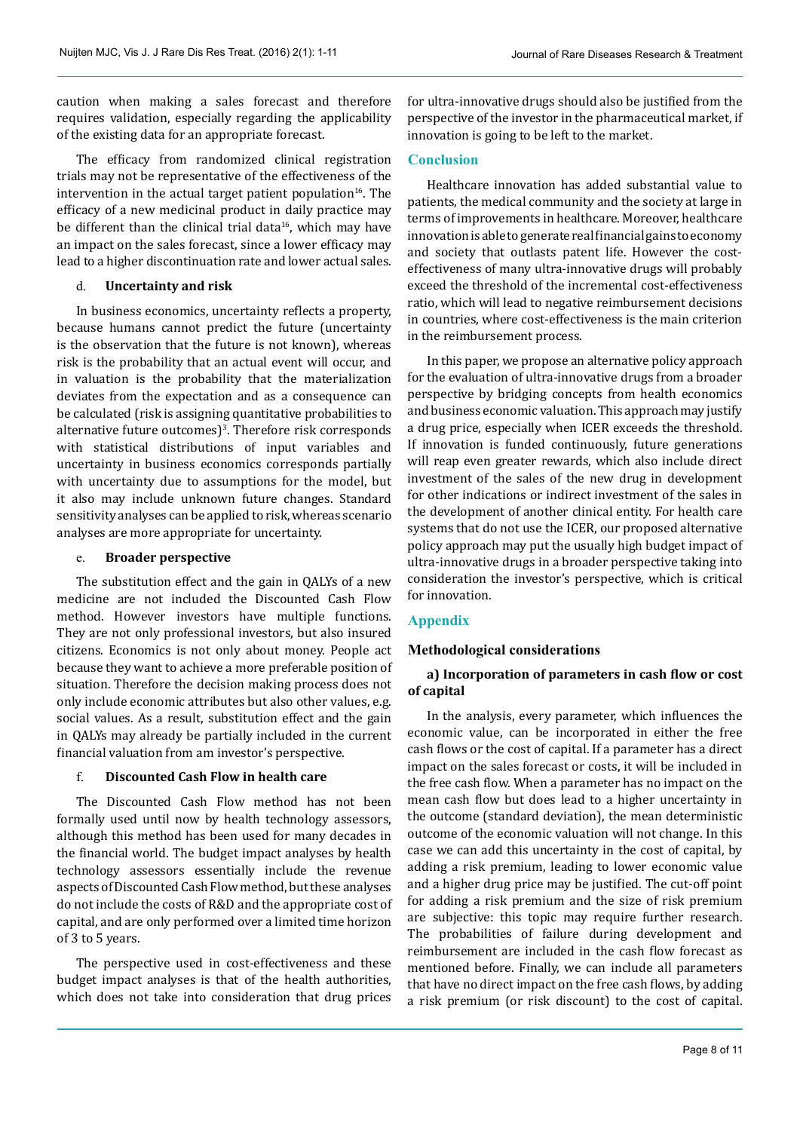caution when making a sales forecast and therefore requires validation, especially regarding the applicability of the existing data for an appropriate forecast.

The efficacy from randomized clinical registration trials may not be representative of the effectiveness of the intervention in the actual target patient population<sup>16</sup>. The efficacy of a new medicinal product in daily practice may be different than the clinical trial data $16$ , which may have an impact on the sales forecast, since a lower efficacy may lead to a higher discontinuation rate and lower actual sales.

## d. **Uncertainty and risk**

In business economics, uncertainty reflects a property, because humans cannot predict the future (uncertainty is the observation that the future is not known), whereas risk is the probability that an actual event will occur, and in valuation is the probability that the materialization deviates from the expectation and as a consequence can be calculated (risk is assigning quantitative probabilities to alternative future outcomes)<sup>3</sup>. Therefore risk corresponds with statistical distributions of input variables and uncertainty in business economics corresponds partially with uncertainty due to assumptions for the model, but it also may include unknown future changes. Standard sensitivity analyses can be applied to risk, whereas scenario analyses are more appropriate for uncertainty.

## e. **Broader perspective**

The substitution effect and the gain in QALYs of a new medicine are not included the Discounted Cash Flow method. However investors have multiple functions. They are not only professional investors, but also insured citizens. Economics is not only about money. People act because they want to achieve a more preferable position of situation. Therefore the decision making process does not only include economic attributes but also other values, e.g. social values. As a result, substitution effect and the gain in QALYs may already be partially included in the current financial valuation from am investor's perspective.

# f. **Discounted Cash Flow in health care**

The Discounted Cash Flow method has not been formally used until now by health technology assessors, although this method has been used for many decades in the financial world. The budget impact analyses by health technology assessors essentially include the revenue aspects of Discounted Cash Flow method, but these analyses do not include the costs of R&D and the appropriate cost of capital, and are only performed over a limited time horizon of 3 to 5 years.

The perspective used in cost-effectiveness and these budget impact analyses is that of the health authorities, which does not take into consideration that drug prices for ultra-innovative drugs should also be justified from the perspective of the investor in the pharmaceutical market, if innovation is going to be left to the market.

# **Conclusion**

Healthcare innovation has added substantial value to patients, the medical community and the society at large in terms of improvements in healthcare. Moreover, healthcare innovation is able to generate real financial gains to economy and society that outlasts patent life. However the costeffectiveness of many ultra-innovative drugs will probably exceed the threshold of the incremental cost-effectiveness ratio, which will lead to negative reimbursement decisions in countries, where cost-effectiveness is the main criterion in the reimbursement process.

In this paper, we propose an alternative policy approach for the evaluation of ultra-innovative drugs from a broader perspective by bridging concepts from health economics and business economic valuation. This approach may justify a drug price, especially when ICER exceeds the threshold. If innovation is funded continuously, future generations will reap even greater rewards, which also include direct investment of the sales of the new drug in development for other indications or indirect investment of the sales in the development of another clinical entity. For health care systems that do not use the ICER, our proposed alternative policy approach may put the usually high budget impact of ultra-innovative drugs in a broader perspective taking into consideration the investor's perspective, which is critical for innovation.

# **Appendix**

# **Methodological considerations**

# **a) Incorporation of parameters in cash flow or cost of capital**

In the analysis, every parameter, which influences the economic value, can be incorporated in either the free cash flows or the cost of capital. If a parameter has a direct impact on the sales forecast or costs, it will be included in the free cash flow. When a parameter has no impact on the mean cash flow but does lead to a higher uncertainty in the outcome (standard deviation), the mean deterministic outcome of the economic valuation will not change. In this case we can add this uncertainty in the cost of capital, by adding a risk premium, leading to lower economic value and a higher drug price may be justified. The cut-off point for adding a risk premium and the size of risk premium are subjective: this topic may require further research. The probabilities of failure during development and reimbursement are included in the cash flow forecast as mentioned before. Finally, we can include all parameters that have no direct impact on the free cash flows, by adding a risk premium (or risk discount) to the cost of capital.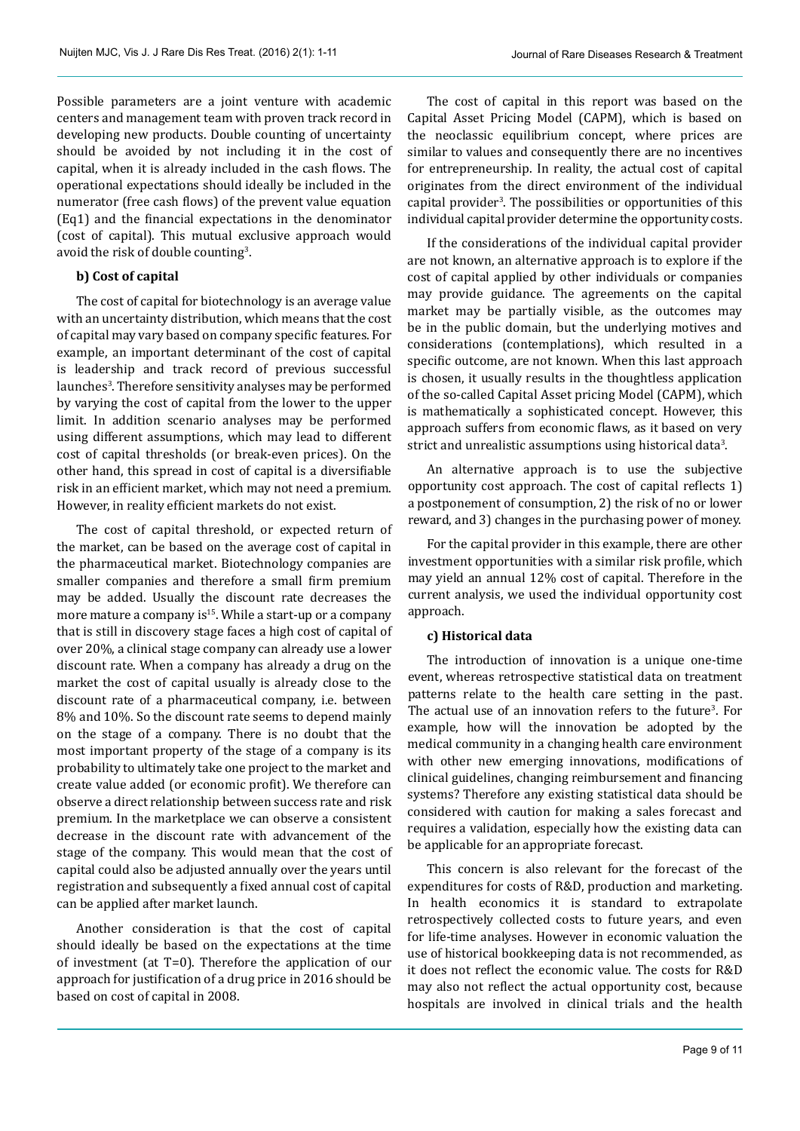Possible parameters are a joint venture with academic centers and management team with proven track record in developing new products. Double counting of uncertainty should be avoided by not including it in the cost of capital, when it is already included in the cash flows. The operational expectations should ideally be included in the numerator (free cash flows) of the prevent value equation (Eq1) and the financial expectations in the denominator (cost of capital). This mutual exclusive approach would avoid the risk of double counting<sup>3</sup>.

#### **b) Cost of capital**

The cost of capital for biotechnology is an average value with an uncertainty distribution, which means that the cost of capital may vary based on company specific features. For example, an important determinant of the cost of capital is leadership and track record of previous successful launches<sup>3</sup>. Therefore sensitivity analyses may be performed by varying the cost of capital from the lower to the upper limit. In addition scenario analyses may be performed using different assumptions, which may lead to different cost of capital thresholds (or break-even prices). On the other hand, this spread in cost of capital is a diversifiable risk in an efficient market, which may not need a premium. However, in reality efficient markets do not exist.

The cost of capital threshold, or expected return of the market, can be based on the average cost of capital in the pharmaceutical market. Biotechnology companies are smaller companies and therefore a small firm premium may be added. Usually the discount rate decreases the more mature a company is<sup>15</sup>. While a start-up or a company that is still in discovery stage faces a high cost of capital of over 20%, a clinical stage company can already use a lower discount rate. When a company has already a drug on the market the cost of capital usually is already close to the discount rate of a pharmaceutical company, i.e. between 8% and 10%. So the discount rate seems to depend mainly on the stage of a company. There is no doubt that the most important property of the stage of a company is its probability to ultimately take one project to the market and create value added (or economic profit). We therefore can observe a direct relationship between success rate and risk premium. In the marketplace we can observe a consistent decrease in the discount rate with advancement of the stage of the company. This would mean that the cost of capital could also be adjusted annually over the years until registration and subsequently a fixed annual cost of capital can be applied after market launch.

Another consideration is that the cost of capital should ideally be based on the expectations at the time of investment (at T=0). Therefore the application of our approach for justification of a drug price in 2016 should be based on cost of capital in 2008.

The cost of capital in this report was based on the Capital Asset Pricing Model (CAPM), which is based on the neoclassic equilibrium concept, where prices are similar to values and consequently there are no incentives for entrepreneurship. In reality, the actual cost of capital originates from the direct environment of the individual capital provider3 . The possibilities or opportunities of this individual capital provider determine the opportunity costs.

If the considerations of the individual capital provider are not known, an alternative approach is to explore if the cost of capital applied by other individuals or companies may provide guidance. The agreements on the capital market may be partially visible, as the outcomes may be in the public domain, but the underlying motives and considerations (contemplations), which resulted in a specific outcome, are not known. When this last approach is chosen, it usually results in the thoughtless application of the so-called Capital Asset pricing Model (CAPM), which is mathematically a sophisticated concept. However, this approach suffers from economic flaws, as it based on very strict and unrealistic assumptions using historical data $^{\rm 3}$ .

An alternative approach is to use the subjective opportunity cost approach. The cost of capital reflects 1) a postponement of consumption, 2) the risk of no or lower reward, and 3) changes in the purchasing power of money.

For the capital provider in this example, there are other investment opportunities with a similar risk profile, which may yield an annual 12% cost of capital. Therefore in the current analysis, we used the individual opportunity cost approach.

#### **c) Historical data**

The introduction of innovation is a unique one-time event, whereas retrospective statistical data on treatment patterns relate to the health care setting in the past. The actual use of an innovation refers to the future<sup>3</sup>. For example, how will the innovation be adopted by the medical community in a changing health care environment with other new emerging innovations, modifications of clinical guidelines, changing reimbursement and financing systems? Therefore any existing statistical data should be considered with caution for making a sales forecast and requires a validation, especially how the existing data can be applicable for an appropriate forecast.

This concern is also relevant for the forecast of the expenditures for costs of R&D, production and marketing. In health economics it is standard to extrapolate retrospectively collected costs to future years, and even for life-time analyses. However in economic valuation the use of historical bookkeeping data is not recommended, as it does not reflect the economic value. The costs for R&D may also not reflect the actual opportunity cost, because hospitals are involved in clinical trials and the health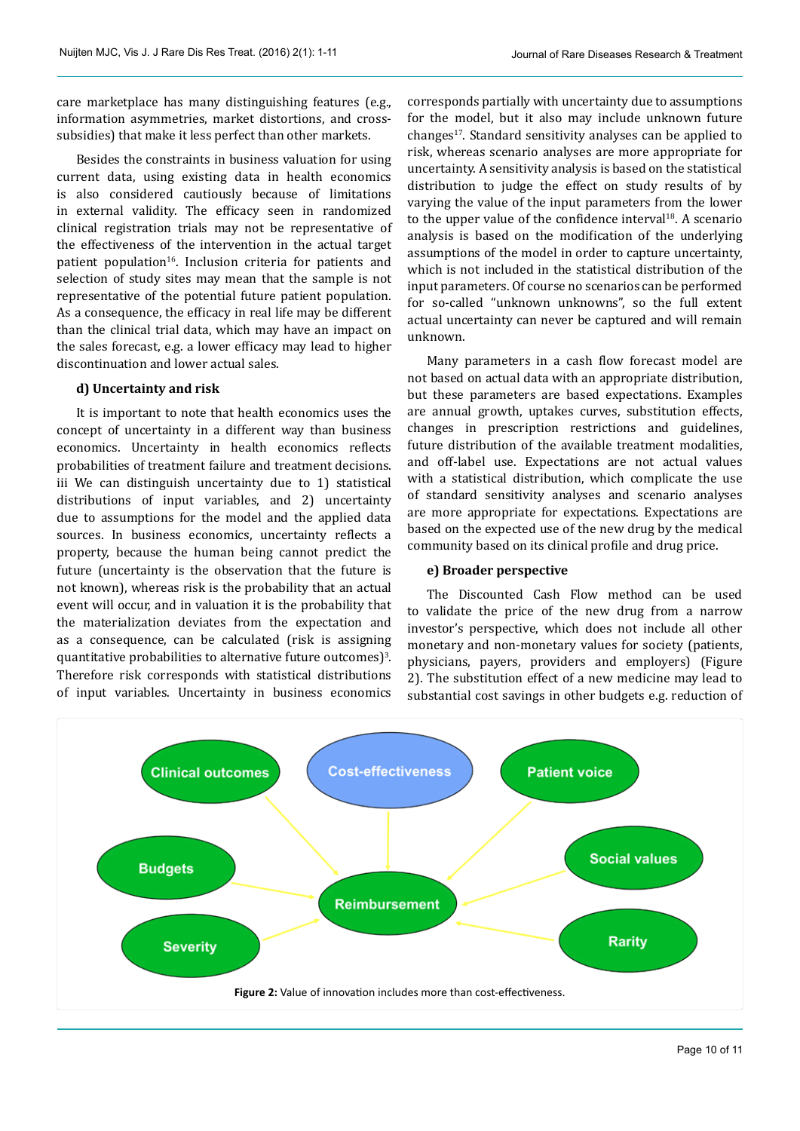care marketplace has many distinguishing features (e.g., information asymmetries, market distortions, and crosssubsidies) that make it less perfect than other markets.

Besides the constraints in business valuation for using current data, using existing data in health economics is also considered cautiously because of limitations in external validity. The efficacy seen in randomized clinical registration trials may not be representative of the effectiveness of the intervention in the actual target patient population<sup>16</sup>. Inclusion criteria for patients and selection of study sites may mean that the sample is not representative of the potential future patient population. As a consequence, the efficacy in real life may be different than the clinical trial data, which may have an impact on the sales forecast, e.g. a lower efficacy may lead to higher discontinuation and lower actual sales.

#### **d) Uncertainty and risk**

It is important to note that health economics uses the concept of uncertainty in a different way than business economics. Uncertainty in health economics reflects probabilities of treatment failure and treatment decisions. iii We can distinguish uncertainty due to 1) statistical distributions of input variables, and 2) uncertainty due to assumptions for the model and the applied data sources. In business economics, uncertainty reflects a property, because the human being cannot predict the future (uncertainty is the observation that the future is not known), whereas risk is the probability that an actual event will occur, and in valuation it is the probability that the materialization deviates from the expectation and as a consequence, can be calculated (risk is assigning quantitative probabilities to alternative future outcomes) $^3$ . Therefore risk corresponds with statistical distributions of input variables. Uncertainty in business economics

corresponds partially with uncertainty due to assumptions for the model, but it also may include unknown future changes<sup>17</sup>. Standard sensitivity analyses can be applied to risk, whereas scenario analyses are more appropriate for uncertainty. A sensitivity analysis is based on the statistical distribution to judge the effect on study results of by varying the value of the input parameters from the lower to the upper value of the confidence interval<sup>18</sup>. A scenario analysis is based on the modification of the underlying assumptions of the model in order to capture uncertainty, which is not included in the statistical distribution of the input parameters. Of course no scenarios can be performed for so-called "unknown unknowns", so the full extent actual uncertainty can never be captured and will remain unknown.

Many parameters in a cash flow forecast model are not based on actual data with an appropriate distribution, but these parameters are based expectations. Examples are annual growth, uptakes curves, substitution effects, changes in prescription restrictions and guidelines, future distribution of the available treatment modalities, and off-label use. Expectations are not actual values with a statistical distribution, which complicate the use of standard sensitivity analyses and scenario analyses are more appropriate for expectations. Expectations are based on the expected use of the new drug by the medical community based on its clinical profile and drug price.

#### **e) Broader perspective**

The Discounted Cash Flow method can be used to validate the price of the new drug from a narrow investor's perspective, which does not include all other monetary and non-monetary values for society (patients, physicians, payers, providers and employers) (Figure 2). The substitution effect of a new medicine may lead to substantial cost savings in other budgets e.g. reduction of